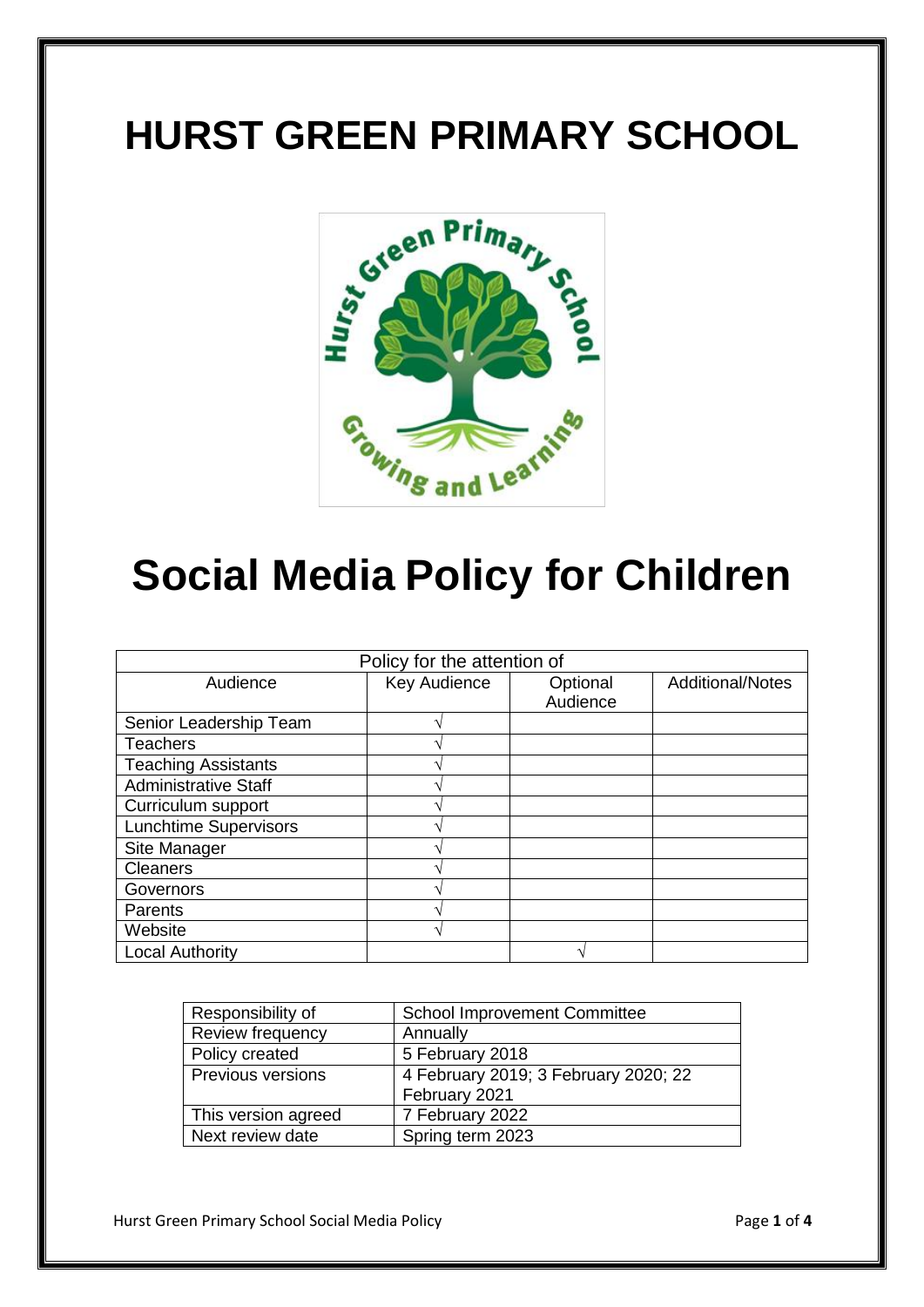# **HURST GREEN PRIMARY SCHOOL**



# **Social Media Policy for Children**

| Policy for the attention of  |                          |                      |                         |
|------------------------------|--------------------------|----------------------|-------------------------|
| Audience                     | Key Audience             | Optional<br>Audience | <b>Additional/Notes</b> |
| Senior Leadership Team       |                          |                      |                         |
| <b>Teachers</b>              |                          |                      |                         |
| <b>Teaching Assistants</b>   |                          |                      |                         |
| <b>Administrative Staff</b>  |                          |                      |                         |
| Curriculum support           |                          |                      |                         |
| <b>Lunchtime Supervisors</b> | $\overline{\phantom{a}}$ |                      |                         |
| Site Manager                 |                          |                      |                         |
| <b>Cleaners</b>              |                          |                      |                         |
| Governors                    |                          |                      |                         |
| Parents                      |                          |                      |                         |
| Website                      |                          |                      |                         |
| <b>Local Authority</b>       |                          |                      |                         |

| Responsibility of        | <b>School Improvement Committee</b>  |
|--------------------------|--------------------------------------|
| Review frequency         | Annually                             |
| Policy created           | 5 February 2018                      |
| <b>Previous versions</b> | 4 February 2019; 3 February 2020; 22 |
|                          | February 2021                        |
| This version agreed      | 7 February 2022                      |
| Next review date         | Spring term 2023                     |

Hurst Green Primary School Social Media Policy **Page 1** of 4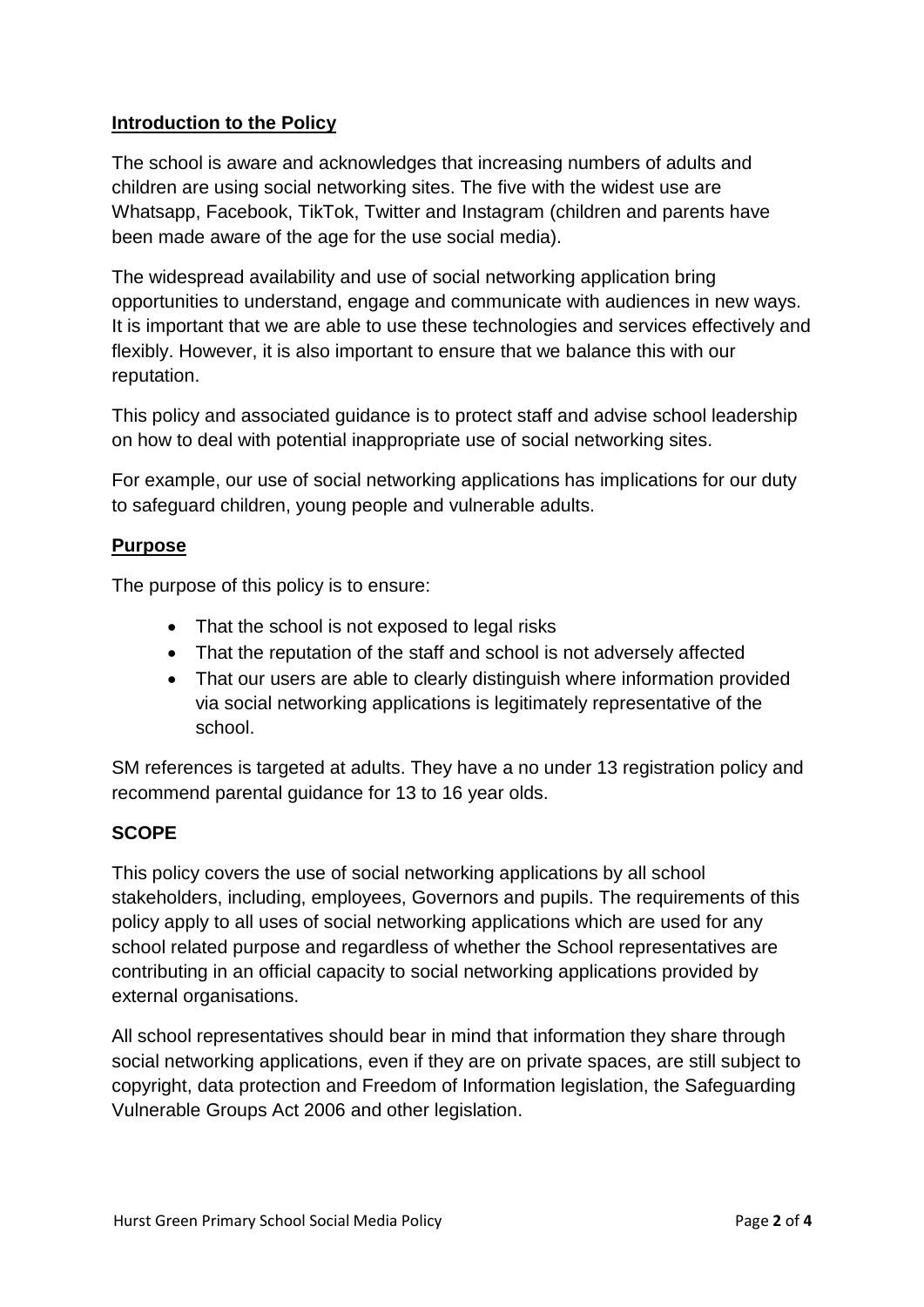## **Introduction to the Policy**

The school is aware and acknowledges that increasing numbers of adults and children are using social networking sites. The five with the widest use are Whatsapp, Facebook, TikTok, Twitter and Instagram (children and parents have been made aware of the age for the use social media).

The widespread availability and use of social networking application bring opportunities to understand, engage and communicate with audiences in new ways. It is important that we are able to use these technologies and services effectively and flexibly. However, it is also important to ensure that we balance this with our reputation.

This policy and associated guidance is to protect staff and advise school leadership on how to deal with potential inappropriate use of social networking sites.

For example, our use of social networking applications has implications for our duty to safeguard children, young people and vulnerable adults.

#### **Purpose**

The purpose of this policy is to ensure:

- That the school is not exposed to legal risks
- That the reputation of the staff and school is not adversely affected
- That our users are able to clearly distinguish where information provided via social networking applications is legitimately representative of the school.

SM references is targeted at adults. They have a no under 13 registration policy and recommend parental guidance for 13 to 16 year olds.

#### **SCOPE**

This policy covers the use of social networking applications by all school stakeholders, including, employees, Governors and pupils. The requirements of this policy apply to all uses of social networking applications which are used for any school related purpose and regardless of whether the School representatives are contributing in an official capacity to social networking applications provided by external organisations.

All school representatives should bear in mind that information they share through social networking applications, even if they are on private spaces, are still subject to copyright, data protection and Freedom of Information legislation, the Safeguarding Vulnerable Groups Act 2006 and other legislation.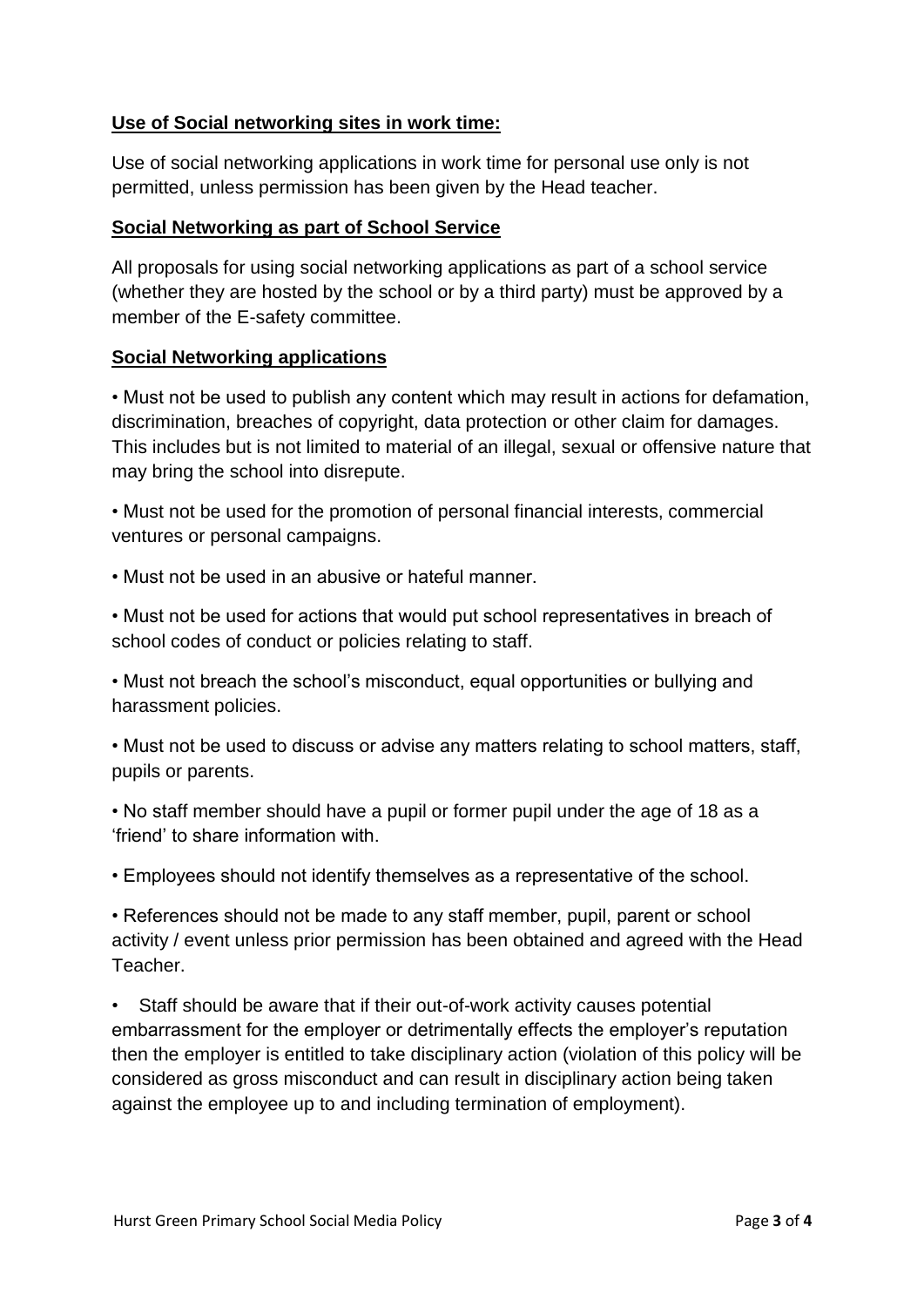## **Use of Social networking sites in work time:**

Use of social networking applications in work time for personal use only is not permitted, unless permission has been given by the Head teacher.

#### **Social Networking as part of School Service**

All proposals for using social networking applications as part of a school service (whether they are hosted by the school or by a third party) must be approved by a member of the E-safety committee.

#### **Social Networking applications**

• Must not be used to publish any content which may result in actions for defamation, discrimination, breaches of copyright, data protection or other claim for damages. This includes but is not limited to material of an illegal, sexual or offensive nature that may bring the school into disrepute.

• Must not be used for the promotion of personal financial interests, commercial ventures or personal campaigns.

• Must not be used in an abusive or hateful manner.

• Must not be used for actions that would put school representatives in breach of school codes of conduct or policies relating to staff.

• Must not breach the school's misconduct, equal opportunities or bullying and harassment policies.

• Must not be used to discuss or advise any matters relating to school matters, staff, pupils or parents.

• No staff member should have a pupil or former pupil under the age of 18 as a 'friend' to share information with.

• Employees should not identify themselves as a representative of the school.

• References should not be made to any staff member, pupil, parent or school activity / event unless prior permission has been obtained and agreed with the Head Teacher.

• Staff should be aware that if their out-of-work activity causes potential embarrassment for the employer or detrimentally effects the employer's reputation then the employer is entitled to take disciplinary action (violation of this policy will be considered as gross misconduct and can result in disciplinary action being taken against the employee up to and including termination of employment).